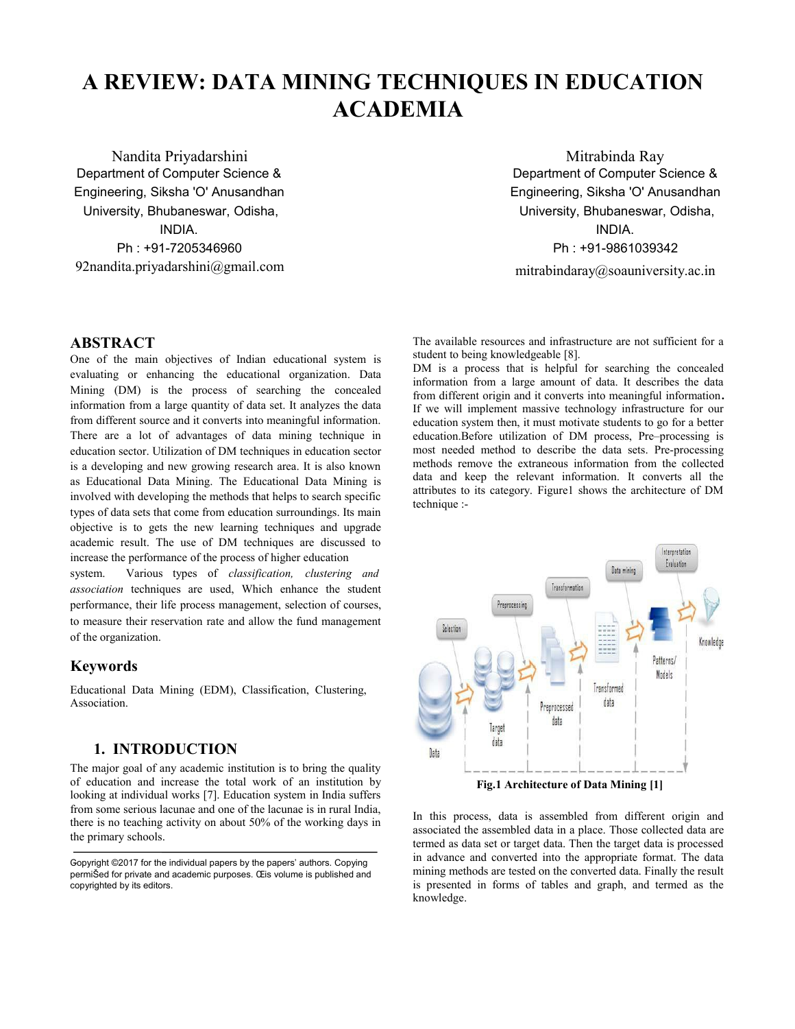# **A REVIEW: DATA MINING TECHNIQUES IN EDUCATION ACADEMIA**

Nandita Priyadarshini Department of Computer Science & Engineering, Siksha 'O' Anusandhan University, Bhubaneswar, Odisha, INDIA. Ph : +91-7205346960 92nandita.priyadarshini@gmail.com

Mitrabinda Ray Department of Computer Science & Engineering, Siksha 'O' Anusandhan University, Bhubaneswar, Odisha, INDIA. Ph : +91-9861039342

mitrabindaray@soauniversity.ac.in

#### **ABSTRACT**

One of the main objectives of Indian educational system is evaluating or enhancing the educational organization. Data Mining (DM) is the process of searching the concealed information from a large quantity of data set. It analyzes the data from different source and it converts into meaningful information. There are a lot of advantages of data mining technique in education sector. Utilization of DM techniques in education sector is a developing and new growing research area. It is also known as Educational Data Mining. The Educational Data Mining is involved with developing the methods that helps to search specific types of data sets that come from education surroundings. Its main objective is to gets the new learning techniques and upgrade academic result. The use of DM techniques are discussed to increase the performance of the process of higher education

system. Various types of *classification, clustering and association* techniques are used, Which enhance the student performance, their life process management, selection of courses, to measure their reservation rate and allow the fund management of the organization.

#### **Keywords**

Educational Data Mining (EDM), Classification, Clustering, Association.

#### **1. INTRODUCTION**

The major goal of any academic institution is to bring the quality of education and increase the total work of an institution by looking at individual works [7]. Education system in India suffers from some serious lacunae and one of the lacunae is in rural India, there is no teaching activity on about 50% of the working days in the primary schools.

The available resources and infrastructure are not sufficient for a student to being knowledgeable [8].

DM is a process that is helpful for searching the concealed information from a large amount of data. It describes the data from different origin and it converts into meaningful information**.** If we will implement massive technology infrastructure for our education system then, it must motivate students to go for a better education.Before utilization of DM process, Pre–processing is most needed method to describe the data sets. Pre-processing methods remove the extraneous information from the collected data and keep the relevant information. It converts all the attributes to its category. Figure1 shows the architecture of DM technique :-



**Fig.1 Architecture of Data Mining [1]**

In this process, data is assembled from different origin and associated the assembled data in a place. Those collected data are termed as data set or target data. Then the target data is processed in advance and converted into the appropriate format. The data mining methods are tested on the converted data. Finally the result is presented in forms of tables and graph, and termed as the knowledge.

Copyright ©2017 for the individual papers by the papers' authors. Copying permiŠed for private and academic purposes. Œis volume is published and copyrighted by its editors.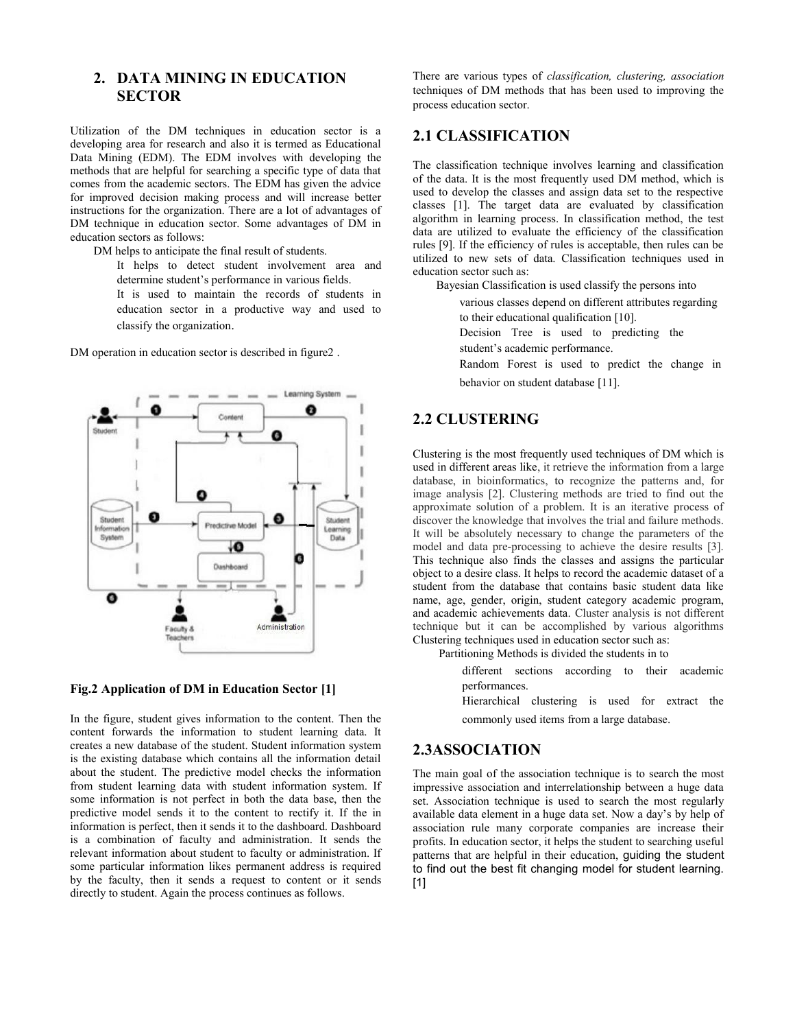# **2. DATA MINING IN EDUCATION SECTOR**

Utilization of the DM techniques in education sector is a developing area for research and also it is termed as Educational Data Mining (EDM). The EDM involves with developing the methods that are helpful for searching a specific type of data that comes from the academic sectors. The EDM has given the advice for improved decision making process and will increase better instructions for the organization. There are a lot of advantages of DM technique in education sector. Some advantages of DM in education sectors as follows:

DM helps to anticipate the final result of students.

It helps to detect student involvement area and determine student's performance in various fields.

It is used to maintain the records of students in education sector in a productive way and used to classify the organization.

DM operation in education sector is described in figure2 .



#### **Fig.2 Application of DM in Education Sector [1]**

In the figure, student gives information to the content. Then the content forwards the information to student learning data. It creates a new database of the student. Student information system is the existing database which contains all the information detail about the student. The predictive model checks the information from student learning data with student information system. If some information is not perfect in both the data base, then the predictive model sends it to the content to rectify it. If the in information is perfect, then it sends it to the dashboard. Dashboard is a combination of faculty and administration. It sends the relevant information about student to faculty or administration. If some particular information likes permanent address is required by the faculty, then it sends a request to content or it sends directly to student. Again the process continues as follows.

There are various types of *classification, clustering, association* techniques of DM methods that has been used to improving the process education sector.

#### **2.1 CLASSIFICATION**

The classification technique involves learning and classification of the data. It is the most frequently used DM method, which is used to develop the classes and assign data set to the respective classes [1]. The target data are evaluated by classification algorithm in learning process. In classification method, the test data are utilized to evaluate the efficiency of the classification rules [9]. If the efficiency of rules is acceptable, then rules can be utilized to new sets of data. Classification techniques used in education sector such as:

Bayesian Classification is used classify the persons into

various classes depend on different attributes regarding to their educational qualification [10].

Decision Tree is used to predicting the

student's academic performance.

Random Forest is used to predict the change in behavior on student database [11].

# **2.2 CLUSTERING**

Clustering is the most frequently used techniques of DM which is used in different areas like, it retrieve the information from a large database, in bioinformatics, to recognize the patterns and, for image analysis [2]. Clustering methods are tried to find out the approximate solution of a problem. It is an iterative process of discover the knowledge that involves the trial and failure methods. It will be absolutely necessary to change the parameters of the model and data pre-processing to achieve the desire results [3]. This technique also finds the classes and assigns the particular object to a desire class. It helps to record the academic dataset of a student from the database that contains basic student data like name, age, gender, origin, student category academic program, and academic achievements data. Cluster analysis is not different technique but it can be accomplished by various algorithms Clustering techniques used in education sector such as:

Partitioning Methods is divided the students in to

different sections according to their academic performances.

Hierarchical clustering is used for extract the commonly used items from a large database.

# **2.3ASSOCIATION**

The main goal of the association technique is to search the most impressive association and interrelationship between a huge data set. Association technique is used to search the most regularly available data element in a huge data set. Now a day's by help of association rule many corporate companies are increase their profits. In education sector, it helps the student to searching useful patterns that are helpful in their education, guiding the student to find out the best fit changing model for student learning. [1]